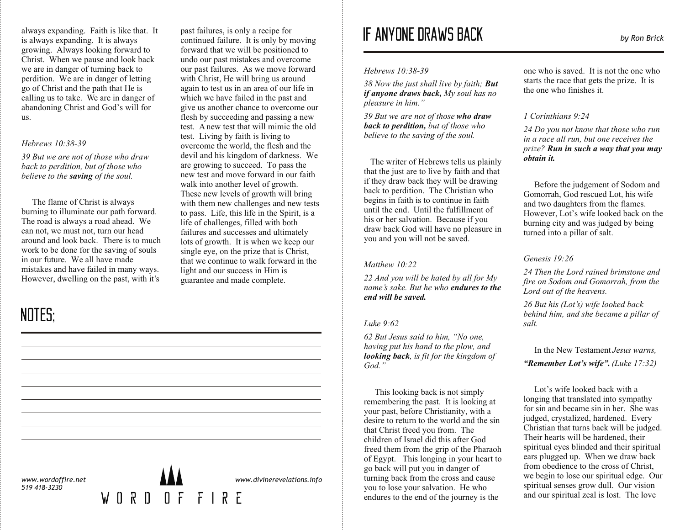always expanding. Faith is like that. It is always expanding. It is always growing. Always looking forward to Christ. When we pause and look back we are in danger of turning back to perdition. We are in danger of letting go of Christ and the path that He is calling us to take. We are in danger of abandoning Christ and God's will for us.

#### *Hebrews 10:38-39*

*39 But we are not of those who draw back to perdition, but of those who believe to the saving of the soul.*

The flame of Christ is always burning to illuminate our path forward. The road is always a road ahead. We can not, we must not, turn our head around and look back. There is to much work to be done for the saving of souls in our future. We all have made mistakes and have failed in many ways. However, dwelling on the past, with it's

## NOTES;

past failures, is only a recipe for continued failure. It is only by moving forward that we will be positioned to undo our past mistakes and overcome our past failures. As we move forward with Christ, He will bring us around again to test us in an area of our life in which we have failed in the past and give us another chance to overcome our flesh by succeeding and passing a new test. A new test that will mimic the old test. Living by faith is living to overcome the world, the flesh and the devil and his kingdom of darkness. We are growing to succeed. To pass the new test and move forward in our faith walk into another level of growth. These new levels of growth will bring with them new challenges and new tests to pass. Life, this life in the Spirit, is a life of challenges, filled with both failures and successes and ultimately lots of growth. It is when we keep our single eye, on the prize that is Christ, that we continue to walk forward in the light and our success in Him is

guarantee and made complete.

# IF ANYONE DRAWS BACK *by Ron Brick*

*Hebrews 10:38-39*

*38 Now the just shall live by faith; But if anyone draws back, My soul has no pleasure in him."*

*39 But we are not of those who draw back to perdition, but of those who believe to the saving of the soul.*

The writer of Hebrews tells us plainly that the just are to live by faith and that if they draw back they will be drawing back to perdition. The Christian who begins in faith is to continue in faith until the end. Until the fulfillment of his or her salvation. Because if you draw back God will have no pleasure in you and you will not be saved.

#### *Matthew 10:22*

*22 And you will be hated by all for My name's sake. But he who endures to the end will be saved.*

#### *Luke 9:62*

*62 But Jesus said to him, "No one, having put his hand to the plow, and looking back, is fit for the kingdom of God."*

This looking back is not simply remembering the past. It is looking at your past, before Christianity, with a desire to return to the world and the sin that Christ freed you from. The children of Israel did this after God freed them from the grip of the Pharaoh of Egypt. This longing in your heart to go back will put you in danger of turning back from the cross and cause you to lose your salvation. He who endures to the end of the journey is the

one who is saved. It is not the one who starts the race that gets the prize. It is the one who finishes it.

#### *1 Corinthians 9:24*

*24 Do you not know that those who run in a race all run, but one receives the prize? Run in such a way that you may obtain it.*

 Before the judgement of Sodom and Gomorrah, God rescued Lot, his wife and two daughters from the flames. However, Lot's wife looked back on the burning city and was judged by being turned into a pillar of salt.

#### *Genesis 19:26*

*24 Then the Lord rained brimstone and fire on Sodom and Gomorrah, from the Lord out of the heavens.* 

*26 But his (Lot's) wife looked back behind him, and she became a pillar of salt.*

 In the New Testament *Jesus warns, "Remember Lot's wife". (Luke 17:32)*

Lot's wife looked back with a longing that translated into sympathy for sin and became sin in her. She was judged, crystalized, hardened. Every Christian that turns back will be judged. Their hearts will be hardened, their spiritual eyes blinded and their spiritual ears plugged up. When we draw back from obedience to the cross of Christ, we begin to lose our spiritual edge. Our spiritual senses grow dull. Our vision and our spiritual zeal is lost. The love

*www.wordoffire.net 519 418-3230*